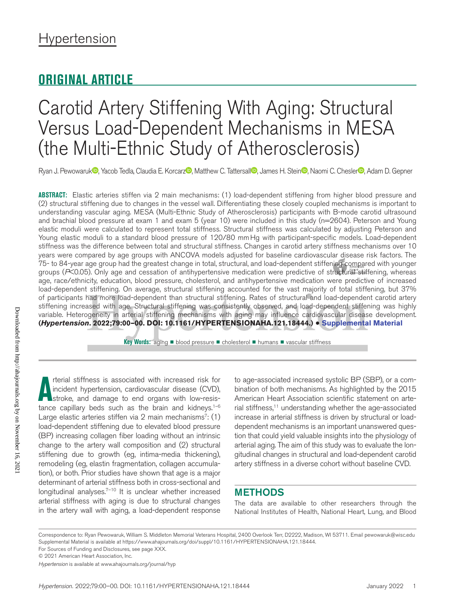## **ORIGINAL ARTICLE**

## Carotid Artery Stiffening With Aging: Structural Versus Load-Dependent Mechanisms in MESA (the Multi-Ethnic Study of Atherosclerosis)

Ryan J. Pewowaruk <sup>n</sup>, Yacob Tedla, Claudia E. Korcarz <sup>n</sup>, Matthew C. Tattersal **D**, James H. Stein <sup>n</sup>, Naomi C. Chesler <sup>n</sup>, Adam D. Gepner

**ABSTRACT:** Elastic arteries stiffen via 2 main mechanisms: (1) load-dependent stiffening from higher blood pressure and (2) structural stiffening due to changes in the vessel wall. Differentiating these closely coupled mechanisms is important to understanding vascular aging. MESA (Multi-Ethnic Study of Atherosclerosis) participants with B-mode carotid ultrasound and brachial blood pressure at exam 1 and exam 5 (year 10) were included in this study (n=2604). Peterson and Young elastic moduli were calculated to represent total stiffness. Structural stiffness was calculated by adjusting Peterson and Young elastic moduli to a standard blood pressure of 120/80 mmHg with participant-specific models. Load-dependent stiffness was the difference between total and structural stiffness. Changes in carotid artery stiffness mechanisms over 10 years were compared by age groups with ANCOVA models adjusted for baseline cardiovascular disease risk factors. The 75- to 84-year age group had the greatest change in total, structural, and load-dependent stiffening compared with younger groups (P<0.05). Only age and cessation of antihypertensive medication were predictive of structural stiffening, whereas age, race/ethnicity, education, blood pressure, cholesterol, and antihypertensive medication were predictive of increased load-dependent stiffening. On average, structural stiffening accounted for the vast majority of total stiffening, but 37% of participants had more load-dependent than structural stiffening. Rates of structural and load-dependent carotid artery stiffening increased with age. Structural stiffening was consistently observed, and load-dependent stiffening was highly variable. Heterogeneity in arterial stiffening mechanisms with aging may influence cardiovascular disease development. **(***Hypertension***. 2022;79:00–00. DOI: 10.1161/HYPERTENSIONAHA.121.18444.)** • **Supplemental Material**

**Key Words:** aging ■ blood pressure ■ cholesterol ■ humans ■ vascular stiffness

Downloaded from http://ahajournals.org by on November 16, 202 Downloaded from http://ahajournals.org by on November 16, 2021

The terial stiffness is associated with increased risk for incident hypertension, cardiovascular disease (CVD), stroke, and damage to end organs with low-resistance capillary beds such as the brain and kidneys.<sup>1–6</sup> rterial stiffness is associated with increased risk for incident hypertension, cardiovascular disease (CVD), stroke, and damage to end organs with low-resis-Large elastic arteries stiffen via 2 main mechanisms $(1)$ load-dependent stiffening due to elevated blood pressure (BP) increasing collagen fiber loading without an intrinsic change to the artery wall composition and (2) structural stiffening due to growth (eg, intima-media thickening), remodeling (eg, elastin fragmentation, collagen accumulation), or both. Prior studies have shown that age is a major determinant of arterial stiffness both in cross-sectional and longitudinal analyses. $7-10$  It is unclear whether increased arterial stiffness with aging is due to structural changes in the artery wall with aging, a load-dependent response

to age-associated increased systolic BP (SBP), or a combination of both mechanisms. As highlighted by the 2015 American Heart Association scientific statement on arterial stiffness,<sup>11</sup> understanding whether the age-associated increase in arterial stiffness is driven by structural or loaddependent mechanisms is an important unanswered question that could yield valuable insights into the physiology of arterial aging. The aim of this study was to evaluate the longitudinal changes in structural and load-dependent carotid artery stiffness in a diverse cohort without baseline CVD.

## **METHODS**

The data are available to other researchers through the National Institutes of Health, National Heart, Lung, and Blood

Correspondence to: Ryan Pewowaruk, William S. Middleton Memorial Veterans Hospital, 2400 Overlook Terr, D2222, Madison, WI 53711. Email [pewowaruk@wisc.edu](mailto:pewowaruk@wisc.edu) Supplemental Material is available at https://www.ahajournals.org/doi/suppl/10.1161/HYPERTENSIONAHA.121.18444. For Sources of Funding and Disclosures, see page XXX.

© 2021 American Heart Association, Inc.

*Hypertension* is available at www.ahajournals.org/journal/hyp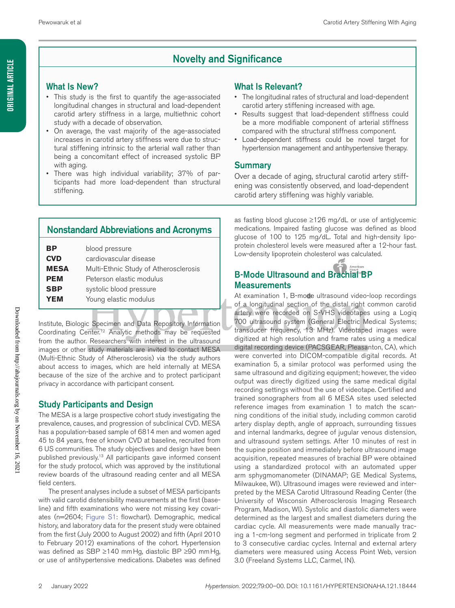## Novelty and Significance

## What Is New?

- This study is the first to quantify the age-associated longitudinal changes in structural and load-dependent carotid artery stiffness in a large, multiethnic cohort study with a decade of observation.
- On average, the vast majority of the age-associated increases in carotid artery stiffness were due to structural stiffening intrinsic to the arterial wall rather than being a concomitant effect of increased systolic BP with aging.
- There was high individual variability; 37% of participants had more load-dependent than structural stiffening.

## What Is Relevant?

- The longitudinal rates of structural and load-dependent carotid artery stiffening increased with age.
- Results suggest that load-dependent stiffness could be a more modifiable component of arterial stiffness compared with the structural stiffness component.
- Load-dependent stiffness could be novel target for hypertension management and antihypertensive therapy.

## Summary

Over a decade of aging, structural carotid artery stiffening was consistently observed, and load-dependent carotid artery stiffening was highly variable.

## Nonstandard Abbreviations and Acronyms

| ΒP          | blood pressure                        |
|-------------|---------------------------------------|
| <b>CVD</b>  | cardiovascular disease                |
| <b>MESA</b> | Multi-Ethnic Study of Atherosclerosis |
| PEM         | Peterson elastic modulus              |
| SBP         | systolic blood pressure               |
| YEM         | Young elastic modulus                 |
|             |                                       |

Institute, Biologic Specimen and Data Repository Information Coordinating Center.12 Analytic methods may be requested from the author. Researchers with interest in the ultrasound images or other study materials are invited to contact MESA (Multi-Ethnic Study of Atherosclerosis) via the study authors about access to images, which are held internally at MESA because of the size of the archive and to protect participant privacy in accordance with participant consent.

## Study Participants and Design

The MESA is a large prospective cohort study investigating the prevalence, causes, and progression of subclinical CVD. MESA has a population-based sample of 6814 men and women aged 45 to 84 years, free of known CVD at baseline, recruited from 6 US communities. The study objectives and design have been published previously.13 All participants gave informed consent for the study protocol, which was approved by the institutional review boards of the ultrasound reading center and all MESA field centers.

The present analyses include a subset of MESA participants with valid carotid distensibility measurements at the first (baseline) and fifth examinations who were not missing key covariates (n=2604; Figure S1: flowchart). Demographic, medical history, and laboratory data for the present study were obtained from the first (July 2000 to August 2002) and fifth (April 2010 to February 2012) examinations of the cohort. Hypertension was defined as SBP ≥140 mmHg, diastolic BP ≥90 mmHg, or use of antihypertensive medications. Diabetes was defined as fasting blood glucose ≥126 mg/dL or use of antiglycemic medications. Impaired fasting glucose was defined as blood glucose of 100 to 125 mg/dL. Total and high-density lipoprotein cholesterol levels were measured after a 12-hour fast. Low-density lipoprotein cholesterol was calculated.

## **B-Mode Ultrasound and Brachial BP Measurements**

At examination 1, B-mode ultrasound video-loop recordings of a longitudinal section of the distal right common carotid artery were recorded on S-VHS videotapes using a Logiq 700 ultrasound system (General Electric Medical Systems; transducer frequency, 13 MHz). Videotaped images were digitized at high resolution and frame rates using a medical digital recording device (PACSGEAR, Pleasanton, CA), which were converted into DICOM-compatible digital records. At examination 5, a similar protocol was performed using the same ultrasound and digitizing equipment; however, the video output was directly digitized using the same medical digital recording settings without the use of videotape. Certified and trained sonographers from all 6 MESA sites used selected reference images from examination 1 to match the scanning conditions of the initial study, including common carotid artery display depth, angle of approach, surrounding tissues and internal landmarks, degree of jugular venous distension, and ultrasound system settings. After 10 minutes of rest in the supine position and immediately before ultrasound image acquisition, repeated measures of brachial BP were obtained using a standardized protocol with an automated upper arm sphygmomanometer (DINAMAP; GE Medical Systems, Milwaukee, WI). Ultrasound images were reviewed and interpreted by the MESA Carotid Ultrasound Reading Center (the University of Wisconsin Atherosclerosis Imaging Research Program, Madison, WI). Systolic and diastolic diameters were determined as the largest and smallest diameters during the cardiac cycle. All measurements were made manually tracing a 1-cm-long segment and performed in triplicate from 2 to 3 consecutive cardiac cycles. Internal and external artery diameters were measured using Access Point Web, version 3.0 (Freeland Systems LLC, Carmel, IN).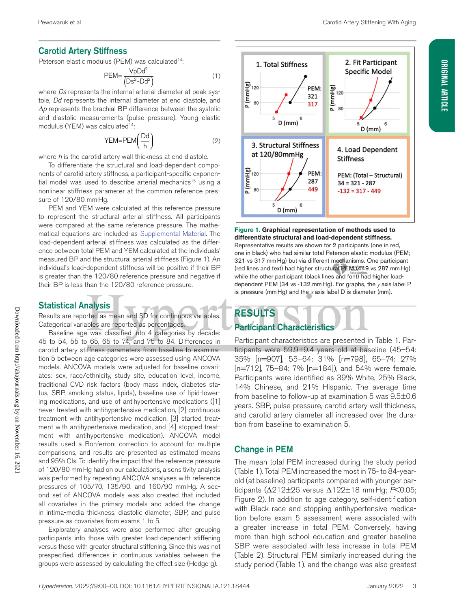## Carotid Artery Stiffness

Peterson elastic modulus (PEM) was calculated<sup>14</sup>:

$$
PEM = \frac{VpDd^2}{(Ds^2 - Dd^2)}
$$
 (1)

where *Ds* represents the internal arterial diameter at peak systole, *Dd* represents the internal diameter at end diastole, and *Δp* represents the brachial BP difference between the systolic and diastolic measurements (pulse pressure). Young elastic modulus (YEM) was calculated<sup>14</sup>:

$$
YEM = PEM\left(\frac{Dd}{h}\right) \tag{2}
$$

where *h* is the carotid artery wall thickness at end diastole.

To differentiate the structural and load-dependent components of carotid artery stiffness, a participant-specific exponential model was used to describe arterial mechanics<sup>15</sup> using a nonlinear stiffness parameter at the common reference pressure of 120/80 mmHg.

PEM and YEM were calculated at this reference pressure to represent the structural arterial stiffness. All participants were compared at the same reference pressure. The mathematical equations are included as Supplemental Material. The load-dependent arterial stiffness was calculated as the difference between total PEM and YEM calculated at the individuals' measured BP and the structural arterial stiffness (Figure 1). An individual's load-dependent stiffness will be positive if their BP is greater than the 120/80 reference pressure and negative if their BP is less than the 120/80 reference pressure.

#### Statistical Analysis

Results are reported as mean and SD for continuous variables. Categorical variables are reported as percentages.

Baseline age was classified into 4 categories by decade: 45 to 54, 55 to 65, 65 to 74, and 75 to 84. Differences in carotid artery stiffness parameters from baseline to examination 5 between age categories were assessed using ANCOVA models. ANCOVA models were adjusted for baseline covariates: sex, race/ethnicity, study site, education level, income, traditional CVD risk factors (body mass index, diabetes status, SBP, smoking status, lipids), baseline use of lipid-lowering medications, and use of antihypertensive medications ([1] never treated with antihypertensive medication, [2] continuous treatment with antihypertensive medication, [3] started treatment with antihypertensive medication, and [4] stopped treatment with antihypertensive medication). ANCOVA model results used a Bonferroni correction to account for multiple comparisons, and results are presented as estimated means and 95% CIs. To identify the impact that the reference pressure of 120/80 mmHg had on our calculations, a sensitivity analysis was performed by repeating ANCOVA analyses with reference pressures of 105/70, 135/90, and 160/90 mmHg. A second set of ANCOVA models was also created that included all covariates in the primary models and added the change in intima-media thickness, diastolic diameter, SBP, and pulse pressure as covariates from exams 1 to 5.

Exploratory analyses were also performed after grouping participants into those with greater load-dependent stiffening versus those with greater structural stiffening. Since this was not prespecified, differences in continuous variables between the groups were assessed by calculating the effect size (Hedge g).



**Figure 1. Graphical representation of methods used to differentiate structural and load-dependent stiffness.** Representative results are shown for 2 participants (one in red, one in black) who had similar total Peterson elastic modulus (PEM; 321 vs 317 mmHg) but via different mechanisms. One participant (red lines and text) had higher structural PEM (449 vs 287 mmHg) while the other participant (black lines and font) had higher loaddependent PEM (34 vs -132 mmHg). For graphs, the *y* axis label P is pressure (mmHg) and the *x* axis label D is diameter (mm).

## RESULTS Participant Characteristics

Participant characteristics are presented in Table 1. Participants were 59.9±9.4 years old at baseline (45–54: 35% [n=907], 55–64: 31% [n=798], 65–74: 27% [n=712], 75–84: 7% [n=184]), and 54% were female. Participants were identified as 39% White, 25% Black, 14% Chinese, and 21% Hispanic. The average time from baseline to follow-up at examination 5 was 9.5±0.6 years. SBP, pulse pressure, carotid artery wall thickness, and carotid artery diameter all increased over the duration from baseline to examination 5.

#### Change in PEM

The mean total PEM increased during the study period (Table 1). Total PEM increased the most in 75- to 84-yearold (at baseline) participants compared with younger participants (Δ212±26 versus Δ122±18 mmHg; *P*<0.05; Figure 2). In addition to age category, self-identification with Black race and stopping antihypertensive medication before exam 5 assessment were associated with a greater increase in total PEM. Conversely, having more than high school education and greater baseline SBP were associated with less increase in total PEM (Table 2). Structural PEM similarly increased during the study period (Table 1), and the change was also greatest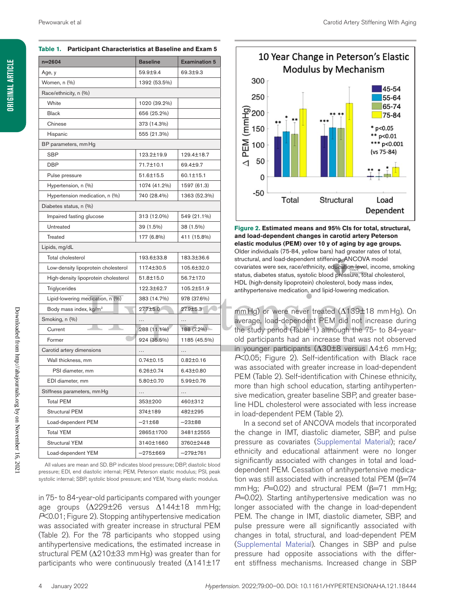| $n = 2604$                           | <b>Baseline</b> | <b>Examination 5</b> |  |  |  |
|--------------------------------------|-----------------|----------------------|--|--|--|
| Age, y                               | 59.9±9.4        | 69.3±9.3             |  |  |  |
| Women, n (%)                         | 1392 (53.5%)    |                      |  |  |  |
| Race/ethnicity, n (%)                |                 |                      |  |  |  |
| White                                | 1020 (39.2%)    |                      |  |  |  |
| <b>Black</b>                         | 656 (25.2%)     |                      |  |  |  |
| Chinese                              | 373 (14.3%)     |                      |  |  |  |
| Hispanic                             | 555 (21.3%)     |                      |  |  |  |
| BP parameters, mm Hg                 |                 |                      |  |  |  |
| <b>SBP</b>                           | 123.2±19.9      | 129.4±18.7           |  |  |  |
| <b>DBP</b>                           | 71.7±10.1       | 69.4±9.7             |  |  |  |
| Pulse pressure                       | 51.6±15.5       | 60.1±15.1            |  |  |  |
| Hypertension, n (%)                  | 1074 (41.2%)    | 1597 (61.3)          |  |  |  |
| Hypertension medication, n (%)       | 740 (28.4%)     | 1363 (52.3%)         |  |  |  |
| Diabetes status, n (%)               |                 |                      |  |  |  |
| Impaired fasting glucose             | 313 (12.0%)     | 549 (21.1%)          |  |  |  |
| Untreated                            | 39 (1.5%)       | 38 (1.5%)            |  |  |  |
| Treated                              | 177 (6.8%)      | 411 (15.8%)          |  |  |  |
| Lipids, mg/dL                        |                 |                      |  |  |  |
| Total cholesterol                    | 193.6±33.8      | 183.3±36.6           |  |  |  |
| Low-density lipoprotein cholesterol  | 117.4±30.5      | 105.6±32.0           |  |  |  |
| High-density lipoprotein cholesterol | 51.8±15.0       | 56.7±17.0            |  |  |  |
| Triglycerides                        | 122.3±62.7      | 105.2±51.9           |  |  |  |
| Lipid-lowering medication, n (%)     | 383 (14.7%)     | 978 (37.6%)          |  |  |  |
| Body mass index, kg/m <sup>2</sup>   | 27.7±5.0        | 27.9±5.3             |  |  |  |
| Smoking, n (%)                       |                 |                      |  |  |  |
| Current                              | 288 (11.1%)     | 188 (7.2%)           |  |  |  |
| Former                               | 924 (35.5%)     | 1185 (45.5%)         |  |  |  |
| Carotid artery dimensions            | .               | .                    |  |  |  |
| Wall thickness, mm                   | $0.74 \pm 0.15$ | $0.82 \pm 0.16$      |  |  |  |
| PSI diameter, mm                     | 6.26±0.74       | $6.43 \pm 0.80$      |  |  |  |
| EDI diameter, mm                     | 5.80±0.70       | 5.99±0.76            |  |  |  |
| Stiffness parameters, mm Hg          | $\cdots$        | $\cdots$             |  |  |  |
| <b>Total PEM</b>                     | 353±200         | 460±312              |  |  |  |
| <b>Structural PEM</b>                | 374±189         | 482±295              |  |  |  |
| Load-dependent PEM                   | $-21\pm 68$     | $-23+88$             |  |  |  |
| <b>Total YEM</b>                     | 2865±1700       | 3481±2555            |  |  |  |
| <b>Structural YEM</b>                | 3140±1660       | 3760±2448            |  |  |  |
| Load-dependent YEM                   | $-275\pm669$    | $-279 + 761$         |  |  |  |

All values are mean and SD. BP indicates blood pressure; DBP, diastolic blood pressure; EDI, end diastolic internal; PEM, Peterson elastic modulus; PSI, peak systolic internal; SBP, systolic blood pressure; and YEM, Young elastic modulus.

in 75- to 84-year-old participants compared with younger age groups (Δ229±26 versus Δ144±18 mmHg; *P*<0.01; Figure 2). Stopping antihypertensive medication was associated with greater increase in structural PEM (Table 2). For the 78 participants who stopped using antihypertensive medications, the estimated increase in structural PEM (Δ210±33 mmHg) was greater than for participants who were continuously treated  $(\Delta 141 \pm 17)$ 



**Figure 2. Estimated means and 95% CIs for total, structural, and load-dependent changes in carotid artery Peterson elastic modulus (PEM) over 10 y of aging by age groups.** Older individuals (75-84, yellow bars) had greater rates of total, structural, and load-dependent stiffening. ANCOVA model covariates were sex, race/ethnicity, education level, income, smoking status, diabetes status, systolic blood pressure, total cholesterol, HDL (high-density lipoprotein) cholesterol, body mass index, antihypertensive medication, and lipid-lowering medication.

mmHg) or were never treated (Δ139±18 mmHg). On average, load-dependent PEM did not increase during the study period (Table 1) although the 75- to 84-yearold participants had an increase that was not observed in younger participants (Δ30±8 versus Δ4±6 mmHg; *P*<0.05; Figure 2). Self-identification with Black race was associated with greater increase in load-dependent PEM (Table 2). Self-identification with Chinese ethnicity, more than high school education, starting antihypertensive medication, greater baseline SBP, and greater baseline HDL cholesterol were associated with less increase in load-dependent PEM (Table 2).

In a second set of ANCOVA models that incorporated the change in IMT, diastolic diameter, SBP, and pulse pressure as covariates (Supplemental Material); race/ ethnicity and educational attainment were no longer significantly associated with changes in total and loaddependent PEM. Cessation of antihypertensive medication was still associated with increased total PEM ( $β=74$ mmHg; *P*=0.02) and structural PEM (β=71 mmHg; *P*=0.02). Starting antihypertensive medication was no longer associated with the change in load-dependent PEM. The change in IMT, diastolic diameter, SBP, and pulse pressure were all significantly associated with changes in total, structural, and load-dependent PEM (Supplemental Material). Changes in SBP and pulse pressure had opposite associations with the different stiffness mechanisms. Increased change in SBP

**Table 1. Participant Characteristics at Baseline and Exam 5**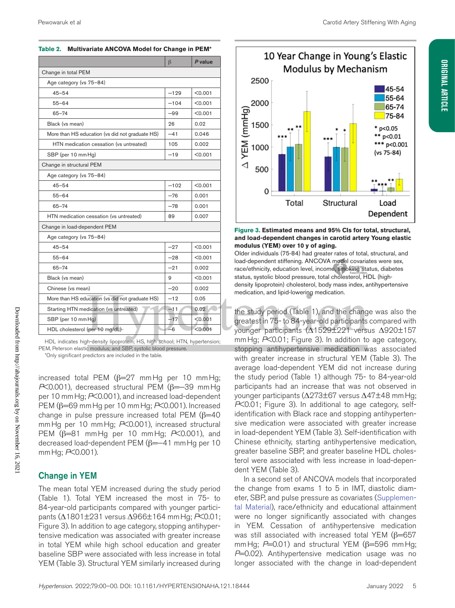# **ORIGINAL ARTICLE Original Article**

| Table 2. Multivariate ANCOVA Model for Change in PEM* |  |
|-------------------------------------------------------|--|
|-------------------------------------------------------|--|

|                                                 | $\beta$ | P value |  |  |
|-------------------------------------------------|---------|---------|--|--|
| Change in total PEM                             |         |         |  |  |
| Age category (vs 75-84)                         |         |         |  |  |
| $45 - 54$                                       | $-129$  | < 0.001 |  |  |
| $55 - 64$                                       | $-104$  | < 0.001 |  |  |
| $65 - 74$                                       | $-99$   | < 0.001 |  |  |
| Black (vs mean)                                 | 26      | 0.02    |  |  |
| More than HS education (vs did not graduate HS) | $-41$   | 0.046   |  |  |
| HTN medication cessation (vs untreated)         | 105     | 0.002   |  |  |
| SBP (per 10 mm Hg)                              | $-19$   | < 0.001 |  |  |
| Change in structural PEM                        |         |         |  |  |
| Age category (vs 75-84)                         |         |         |  |  |
| $45 - 54$                                       | $-102$  | < 0.001 |  |  |
| $55 - 64$                                       | $-76$   | 0.001   |  |  |
| $65 - 74$                                       | $-78$   | 0.001   |  |  |
| HTN medication cessation (vs untreated)         | 89      | 0.007   |  |  |
| Change in load-dependent PEM                    |         |         |  |  |
| Age category (vs 75-84)                         |         |         |  |  |
| $45 - 54$                                       | $-27$   | < 0.001 |  |  |
| $55 - 64$                                       | $-28$   | < 0.001 |  |  |
| $65 - 74$                                       | $-21$   | 0.002   |  |  |
| Black (vs mean)                                 | 9       | < 0.001 |  |  |
| Chinese (vs mean)                               | $-20$   | 0.002   |  |  |
| More than HS education (vs did not graduate HS) | $-12$   | 0.05    |  |  |
| Starting HTN medication (vs untreated)          | $-11$   | 0.02    |  |  |
| SBP (per 10 mm Hg)                              | $-17$   | < 0.001 |  |  |
| HDL cholesterol (per 10 mg/dL)                  | -6      | < 0.001 |  |  |

HDL indicates high-density lipoprotein; HS, high school; HTN, hypertension; PEM, Peterson elastic modulus; and SBP, systolic blood pressure.

\*Only significant predictors are included in the table.

increased total PEM  $(\beta=27 \text{ mmHg per 10 mmHg})$ *P*<0.001), decreased structural PEM (β=−39 mmHg per 10 mmHg; *P*<0.001), and increased load-dependent PEM (β=69 mmHg per 10 mmHg; *P*<0.001). Increased change in pulse pressure increased total PEM  $(\beta=40)$ mmHg per 10 mmHg; *P*<0.001), increased structural PEM (β=81 mmHg per 10 mmHg; *P*<0.001), and decreased load-dependent PEM (β=-41 mm Hg per 10 mmHg; *P*<0.001).

## Change in YEM

The mean total YEM increased during the study period (Table 1). Total YEM increased the most in 75- to 84-year-old participants compared with younger participants (Δ1801±231 versus Δ966±164 mmHg; *P*<0.01; Figure 3). In addition to age category, stopping antihypertensive medication was associated with greater increase in total YEM while high school education and greater baseline SBP were associated with less increase in total YEM (Table 3). Structural YEM similarly increased during



#### **Figure 3. Estimated means and 95% CIs for total, structural, and load-dependent changes in carotid artery Young elastic modulus (YEM) over 10 y of aging.**

Older individuals (75-84) had greater rates of total, structural, and load-dependent stiffening. ANCOVA model covariates were sex, race/ethnicity, education level, income, smoking status, diabetes status, systolic blood pressure, total cholesterol, HDL (highdensity lipoprotein) cholesterol, body mass index, antihypertensive medication, and lipid-lowering medication.

the study period (Table 1), and the change was also the greatest in 75- to 84-year-old participants compared with younger participants (Δ1529±221 versus Δ920±157 mmHg; *P*<0.01; Figure 3). In addition to age category, stopping antihypertensive medication was associated with greater increase in structural YEM (Table 3). The average load-dependent YEM did not increase during the study period (Table 1) although 75- to 84-year-old participants had an increase that was not observed in younger participants (Δ273±67 versus Δ47±48 mmHg; *P*<0.01; Figure 3). In additional to age category, selfidentification with Black race and stopping antihypertensive medication were associated with greater increase in load-dependent YEM (Table 3). Self-identification with Chinese ethnicity, starting antihypertensive medication, greater baseline SBP, and greater baseline HDL cholesterol were associated with less increase in load-dependent YEM (Table 3).

In a second set of ANCOVA models that incorporated the change from exams 1 to 5 in IMT, diastolic diameter, SBP, and pulse pressure as covariates (Supplemental Material), race/ethnicity and educational attainment were no longer significantly associated with changes in YEM. Cessation of antihypertensive medication was still associated with increased total YEM ( $\beta$ =657 mmHg; *P*=0.01) and structural YEM (β=596 mmHg; P=0.02). Antihypertensive medication usage was no longer associated with the change in load-dependent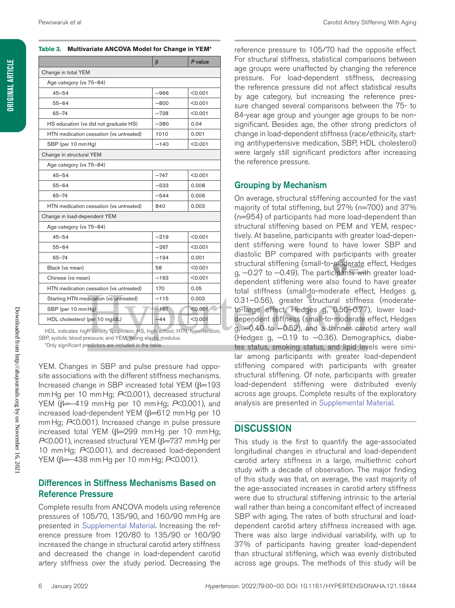#### **Table 3. Multivariate ANCOVA Model for Change in YEM\***

|                                         | $\beta$ | P value |  |  |
|-----------------------------------------|---------|---------|--|--|
| Change in total YEM                     |         |         |  |  |
| Age category (vs 75-84)                 |         |         |  |  |
| $45 - 54$                               | $-966$  | < 0.001 |  |  |
| $55 - 64$                               | $-800$  | < 0.001 |  |  |
| $65 - 74$                               | $-738$  | < 0.001 |  |  |
| HS education (vs did not graduate HS)   | $-380$  | 0.04    |  |  |
| HTN medication cessation (vs untreated) | 1010    | 0.001   |  |  |
| SBP (per 10 mm Hg)                      | $-140$  | < 0.001 |  |  |
| Change in structural YEM                |         |         |  |  |
| Age category (vs 75-84)                 |         |         |  |  |
| $45 - 54$                               | $-747$  | < 0.001 |  |  |
| $55 - 64$                               | $-533$  | 0.008   |  |  |
| $65 - 74$                               | $-544$  | 0.006   |  |  |
| HTN medication cessation (vs untreated) | 840     | 0.003   |  |  |
| Change in load-dependent YEM            |         |         |  |  |
| Age category (vs 75-84)                 |         |         |  |  |
| $45 - 54$                               | $-219$  | < 0.001 |  |  |
| $55 - 64$                               | $-267$  | < 0.001 |  |  |
| $65 - 74$                               | $-194$  | 0.001   |  |  |
| Black (vs mean)                         | 58      | < 0.001 |  |  |
| Chinese (vs mean)                       | $-193$  | < 0.001 |  |  |
| HTN medication cessation (vs untreated) | 170     | 0.05    |  |  |
| Starting HTN medication (vs untreated)  | $-115$  | 0.003   |  |  |
| SBP (per 10 mm Hg)                      | $-167$  | < 0.001 |  |  |
| HDL cholesterol (per 10 mg/dL)          | $-44$   | < 0.001 |  |  |

HDL indicates high-density lipoprotein; HS, high school; HTN, hypertension; SBP, systolic blood pressure; and YEM, Young elastic modulus. \*Only significant predictors are included in the table.

YEM. Changes in SBP and pulse pressure had opposite associations with the different stiffness mechanisms. Increased change in SBP increased total YEM (β=193 mmHg per 10 mmHg; *P*<0.001), decreased structural YEM (β=−419 mmHg per 10 mmHg; *P*<0.001), and increased load-dependent YEM (β=612 mmHg per 10 mmHg; *P*<0.001). Increased change in pulse pressure increased total YEM ( $β=299$  mmHg per 10 mmHg; *P*<0.001), increased structural YEM (β=737 mm Hg per 10 mmHg; *P*<0.001), and decreased load-dependent YEM (β=−438 mmHg per 10 mmHg; *P*<0.001).

## Differences in Stiffness Mechanisms Based on Reference Pressure

Complete results from ANCOVA models using reference pressures of 105/70, 135/90, and 160/90 mmHg are presented in Supplemental Material. Increasing the reference pressure from 120/80 to 135/90 or 160/90 increased the change in structural carotid artery stiffness and decreased the change in load-dependent carotid artery stiffness over the study period. Decreasing the

reference pressure to 105/70 had the opposite effect. For structural stiffness, statistical comparisons between age groups were unaffected by changing the reference pressure. For load-dependent stiffness, decreasing the reference pressure did not affect statistical results by age category, but increasing the reference pressure changed several comparisons between the 75- to 84-year age group and younger age groups to be nonsignificant. Besides age, the other strong predictors of change in load-dependent stiffness (race/ethnicity, starting antihypertensive medication, SBP, HDL cholesterol) were largely still significant predictors after increasing the reference pressure.

## Grouping by Mechanism

On average, structural stiffening accounted for the vast majority of total stiffening, but 27% (n=700) and 37% (n=954) of participants had more load-dependent than structural stiffening based on PEM and YEM, respectively. At baseline, participants with greater load-dependent stiffening were found to have lower SBP and diastolic BP compared with participants with greater structural stiffening (small-to-moderate effect, Hedges g, -0.27 to -0.49). The participants with greater loaddependent stiffening were also found to have greater total stiffness (small-to-moderate effect, Hedges g, 0.31–0.56), greater structural stiffness (moderateto-large effect, Hedges g, 0.50–0.77), lower loaddependent stiffness (small-to-moderate effect, Hedges g, −0.40 to −0.52), and a thinner carotid artery wall (Hedges g, −0.19 to −0.36). Demographics, diabetes status, smoking status, and lipid levels were similar among participants with greater load-dependent stiffening compared with participants with greater structural stiffening. Of note, participants with greater load-dependent stiffening were distributed evenly across age groups. Complete results of the exploratory analysis are presented in Supplemental Material.

## **DISCUSSION**

This study is the first to quantify the age-associated longitudinal changes in structural and load-dependent carotid artery stiffness in a large, multiethnic cohort study with a decade of observation. The major finding of this study was that, on average, the vast majority of the age-associated increases in carotid artery stiffness were due to structural stiffening intrinsic to the arterial wall rather than being a concomitant effect of increased SBP with aging. The rates of both structural and loaddependent carotid artery stiffness increased with age. There was also large individual variability, with up to 37% of participants having greater load-dependent than structural stiffening, which was evenly distributed across age groups. The methods of this study will be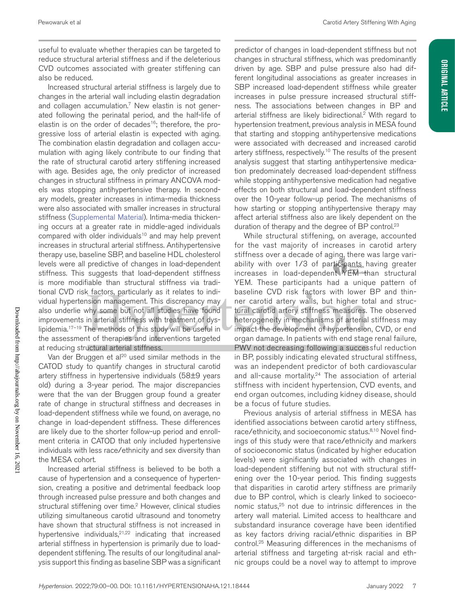**Original Article**

**ORIGINAL ARTICLE** 

useful to evaluate whether therapies can be targeted to reduce structural arterial stiffness and if the deleterious CVD outcomes associated with greater stiffening can also be reduced.

Increased structural arterial stiffness is largely due to changes in the arterial wall including elastin degradation and collagen accumulation.7 New elastin is not generated following the perinatal period, and the half-life of elastin is on the order of decades<sup>16</sup>; therefore, the progressive loss of arterial elastin is expected with aging. The combination elastin degradation and collagen accumulation with aging likely contribute to our finding that the rate of structural carotid artery stiffening increased with age. Besides age, the only predictor of increased changes in structural stiffness in primary ANCOVA models was stopping antihypertensive therapy. In secondary models, greater increases in intima-media thickness were also associated with smaller increases in structural stiffness (Supplemental Material). Intima-media thickening occurs at a greater rate in middle-aged individuals compared with older individuals<sup>10</sup> and may help prevent increases in structural arterial stiffness. Antihypertensive therapy use, baseline SBP, and baseline HDL cholesterol levels were all predictive of changes in load-dependent stiffness. This suggests that load-dependent stiffness is more modifiable than structural stiffness via traditional CVD risk factors, particularly as it relates to individual hypertension management. This discrepancy may also underlie why some but not all studies have found improvements in arterial stiffness with treatment of dyslipidemia.17–19 The methods of this study will be useful in the assessment of therapies and interventions targeted at reducing structural arterial stiffness.

Van der Bruggen et al<sup>20</sup> used similar methods in the CATOD study to quantify changes in structural carotid artery stiffness in hypertensive individuals (58±9 years old) during a 3-year period. The major discrepancies were that the van der Bruggen group found a greater rate of change in structural stiffness and decreases in load-dependent stiffness while we found, on average, no change in load-dependent stiffness. These differences are likely due to the shorter follow-up period and enrollment criteria in CATOD that only included hypertensive individuals with less race/ethnicity and sex diversity than the MESA cohort.

Increased arterial stiffness is believed to be both a cause of hypertension and a consequence of hypertension, creating a positive and detrimental feedback loop through increased pulse pressure and both changes and structural stiffening over time.<sup>2</sup> However, clinical studies utilizing simultaneous carotid ultrasound and tonometry have shown that structural stiffness is not increased in hypertensive individuals, $2^{1,22}$  indicating that increased arterial stiffness in hypertension is primarily due to loaddependent stiffening. The results of our longitudinal analysis support this finding as baseline SBP was a significant

predictor of changes in load-dependent stiffness but not changes in structural stiffness, which was predominantly driven by age. SBP and pulse pressure also had different longitudinal associations as greater increases in SBP increased load-dependent stiffness while greater increases in pulse pressure increased structural stiffness. The associations between changes in BP and arterial stiffness are likely bidirectional.2 With regard to hypertension treatment, previous analysis in MESA found that starting and stopping antihypertensive medications were associated with decreased and increased carotid artery stiffness, respectively.10 The results of the present analysis suggest that starting antihypertensive medication predominately decreased load-dependent stiffness while stopping antihypertensive medication had negative effects on both structural and load-dependent stiffness over the 10-year follow-up period. The mechanisms of how starting or stopping antihypertensive therapy may affect arterial stiffness also are likely dependent on the duration of therapy and the degree of BP control.<sup>23</sup>

While structural stiffening, on average, accounted for the vast majority of increases in carotid artery stiffness over a decade of aging, there was large variability with over 1/3 of participants having greater increases in load-dependent YEM than structural YEM. These participants had a unique pattern of baseline CVD risk factors with lower BP and thinner carotid artery walls, but higher total and structural carotid artery stiffness measures. The observed heterogeneity in mechanisms of arterial stiffness may impact the development of hypertension, CVD, or end organ damage. In patients with end stage renal failure, PWV not decreasing following a successful reduction in BP, possibly indicating elevated structural stiffness, was an independent predictor of both cardiovascular and all-cause mortality.<sup>24</sup> The association of arterial stiffness with incident hypertension, CVD events, and end organ outcomes, including kidney disease, should be a focus of future studies.

Previous analysis of arterial stiffness in MESA has identified associations between carotid artery stiffness, race/ethnicity, and socioeconomic status.<sup>8,10</sup> Novel findings of this study were that race/ethnicity and markers of socioeconomic status (indicated by higher education levels) were significantly associated with changes in load-dependent stiffening but not with structural stiffening over the 10-year period. This finding suggests that disparities in carotid artery stiffness are primarily due to BP control, which is clearly linked to socioeconomic status,<sup>25</sup> not due to intrinsic differences in the artery wall material. Limited access to healthcare and substandard insurance coverage have been identified as key factors driving racial/ethnic disparities in BP control.25 Measuring differences in the mechanisms of arterial stiffness and targeting at-risk racial and ethnic groups could be a novel way to attempt to improve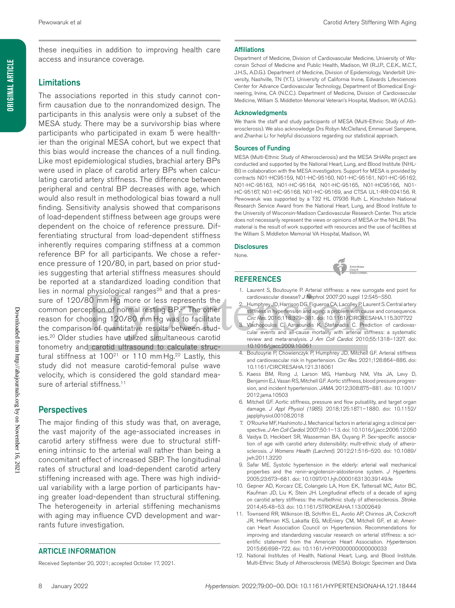these inequities in addition to improving health care access and insurance coverage.

## Limitations

The associations reported in this study cannot confirm causation due to the nonrandomized design. The participants in this analysis were only a subset of the MESA study. There may be a survivorship bias where participants who participated in exam 5 were healthier than the original MESA cohort, but we expect that this bias would increase the chances of a null finding. Like most epidemiological studies, brachial artery BPs were used in place of carotid artery BPs when calculating carotid artery stiffness. The difference between peripheral and central BP decreases with age, which would also result in methodological bias toward a null finding. Sensitivity analysis showed that comparisons of load-dependent stiffness between age groups were dependent on the choice of reference pressure. Differentiating structural from load-dependent stiffness inherently requires comparing stiffness at a common reference BP for all participants. We chose a reference pressure of 120/80, in part, based on prior studies suggesting that arterial stiffness measures should be reported at a standardized loading condition that lies in normal physiological ranges<sup>26</sup> and that a pressure of 120/80 mm Hg more or less represents the common perception of normal resting BP. 27 The other reason for choosing 120/80 mm Hg was to facilitate the comparison of quantitative results between studies.20 Older studies have utilized simultaneous carotid tonometry and carotid ultrasound to calculate structural stiffness at  $100^{21}$  or 110 mm Hg.<sup>22</sup> Lastly, this study did not measure carotid-femoral pulse wave velocity, which is considered the gold standard measure of arterial stiffness.<sup>11</sup>

### **Perspectives**

The major finding of this study was that, on average, the vast majority of the age-associated increases in carotid artery stiffness were due to structural stiffening intrinsic to the arterial wall rather than being a concomitant effect of increased SBP. The longitudinal rates of structural and load-dependent carotid artery stiffening increased with age. There was high individual variability with a large portion of participants having greater load-dependent than structural stiffening. The heterogeneity in arterial stiffening mechanisms with aging may influence CVD development and warrants future investigation.

#### ARTICLE INFORMATION

Received September 20, 2021; accepted October 17, 2021.

#### **Affiliations**

Department of Medicine, Division of Cardiovascular Medicine, University of Wisconsin School of Medicine and Public Health, Madison, WI (R.J.P., C.E.K., M.C.T., J.H.S., A.D.G.). Department of Medicine, Division of Epidemiology, Vanderbilt University, Nashville, TN (Y.T.). University of California Irvine, Edwards Lifesciences Center for Advance Cardiovascular Technology, Department of Biomedical Engineering, Irvine, CA (N.C.C.). Department of Medicine, Division of Cardiovascular Medicine, William S. Middleton Memorial Veteran's Hospital, Madison, WI (A.D.G.).

#### Acknowledgments

We thank the staff and study participants of MESA (Multi-Ethnic Study of Atherosclerosis). We also acknowledge Drs Robyn McClelland, Emmanuel Sampene, and Zhanhai Li for helpful discussions regarding our statistical approach.

#### Sources of Funding

MESA (Multi-Ethnic Study of Atherosclerosis) and the MESA SHARe project are conducted and supported by the National Heart, Lung, and Blood Institute (NHL-BI) in collaboration with the MESA investigators. Support for MESA is provided by contracts N01-HC95159, N01-HC-95160, N01-HC-95161, N01-HC-95162, N01-HC-95163, N01-HC-95164, N01-HC-95165, N01-HC95166, N01- HC-95167, N01-HC-95168, N01-HC-95169, and CTSA UL1-RR-024156. R. Pewowaruk was supported by a T32 HL 07936 Ruth L. Kirschstein National Research Service Award from the National Heart, Lung, and Blood Institute to the University of Wisconsin-Madison Cardiovascular Research Center. This article does not necessarily represent the views or opinions of MESA or the NHLBI. This material is the result of work supported with resources and the use of facilities at the William S. Middleton Memorial VA Hospital, Madison, WI.

#### **Disclosures**

None.

#### REFERENCES

- 1. Laurent S, Boutouyrie P. Arterial stiffness: a new surrogate end point for cardiovascular disease? *J Nephrol*. 2007;20 suppl 12:S45–S50.
- Humphrey JD, Harrison DG, Figueroa CA, Lacolley P, Laurent S. Central artery stiffness in hypertension and aging: a problem with cause and consequence.
- *Circ Res*. 2016;118:379–381. doi: 10.1161/CIRCRESAHA.115.307722 Vlachopoulos C, Aznaouridis K, Stefanadis C. Prediction of cardiovas-
- cular events and all-cause mortality with arterial stiffness: a systematic review and meta-analysis. *J Am Coll Cardiol*. 2010;55:1318–1327. doi: 10.1016/j.jacc.2009.10.061
- 4. Boutouyrie P, Chowienczyk P, Humphrey JD, Mitchell GF. Arterial stiffness and cardiovascular risk in hypertension. *Circ Res*. 2021;128:864–886. doi: 10.1161/CIRCRESAHA.121.318061
- 5. Kaess BM, Rong J, Larson MG, Hamburg NM, Vita JA, Levy D, Benjamin EJ, Vasan RS, Mitchell GF. Aortic stiffness, blood pressure progression, and incident hypertension. *JAMA*. 2012;308:875–881. doi: 10.1001/ 2012.jama.10503
- 6. Mitchell GF. Aortic stiffness, pressure and flow pulsatility, and target organ damage. *J Appl Physiol (1985)*. 2018;125:1871–1880. doi: 10.1152/ japplphysiol.00108.2018
- 7. O'Rourke MF, Hashimoto J. Mechanical factors in arterial aging: a clinical perspective. *J Am Coll Cardiol*. 2007;50:1–13. doi: 10.1016/j.jacc.2006.12.050
- 8. Vaidya D, Heckbert SR, Wasserman BA, Ouyang P. Sex-specific association of age with carotid artery distensibility: multi-ethnic study of atherosclerosis. *J Womens Health (Larchmt)*. 2012;21:516–520. doi: 10.1089/ jwh.2011.3220
- 9. Safar ME. Systolic hypertension in the elderly: arterial wall mechanical properties and the renin-angiotensin-aldosterone system. *J Hypertens*. 2005;23:673–681. doi: 10.1097/01.hjh.0000163130.39149.fe
- 10. Gepner AD, Korcarz CE, Colangelo LA, Hom EK, Tattersall MC, Astor BC, Kaufman JD, Liu K, Stein JH. Longitudinal effects of a decade of aging on carotid artery stiffness: the multiethnic study of atherosclerosis. *Stroke*. 2014;45:48–53. doi: 10.1161/STROKEAHA.113.002649
- 11. Townsend RR, Wilkinson IB, Schiffrin EL, Avolio AP, Chirinos JA, Cockcroft JR, Heffernan KS, Lakatta EG, McEniery CM, Mitchell GF, et al; American Heart Association Council on Hypertension. Recommendations for improving and standardizing vascular research on arterial stiffness: a scientific statement from the American Heart Association. *Hypertension*. 2015;66:698–722. doi: 10.1161/HYP.0000000000000033
- 12. National Institutes of Health, National Heart, Lung, and Blood Institute. Multi‐Ethnic Study of Atherosclerosis (MESA). Biologic Specimen and Data